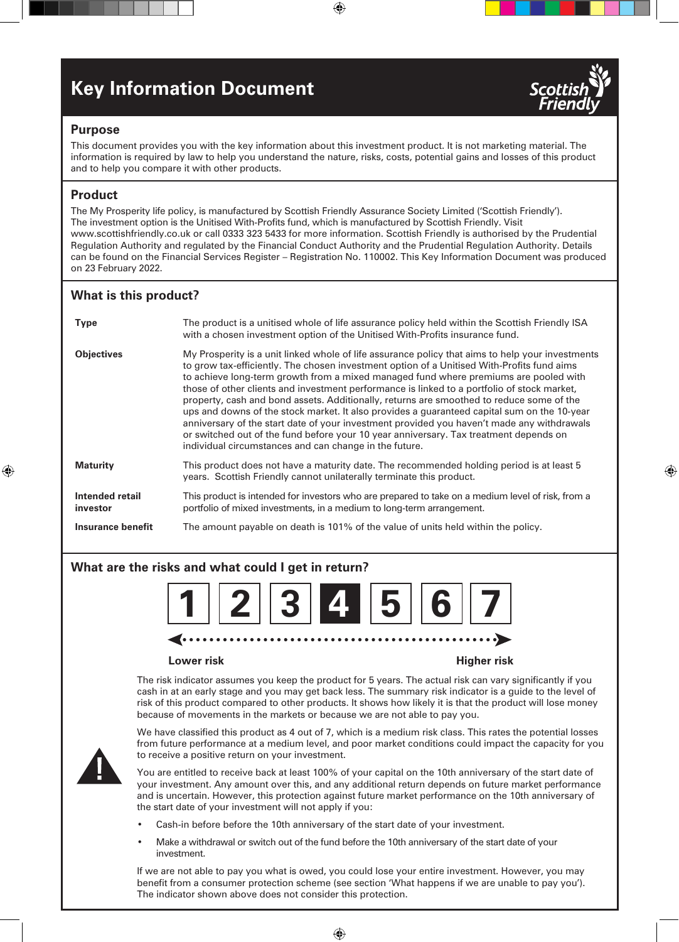# **Key Information Document**



⊕

## **Purpose**

This document provides you with the key information about this investment product. It is not marketing material. The information is required by law to help you understand the nature, risks, costs, potential gains and losses of this product and to help you compare it with other products.

⊕

## **Product**

⊕

The My Prosperity life policy, is manufactured by Scottish Friendly Assurance Society Limited ('Scottish Friendly'). The investment option is the Unitised With-Profits fund, which is manufactured by Scottish Friendly. Visit www.scottishfriendly.co.uk or call 0333 323 5433 for more information. Scottish Friendly is authorised by the Prudential Regulation Authority and regulated by the Financial Conduct Authority and the Prudential Regulation Authority. Details can be found on the Financial Services Register – Registration No. 110002. This Key Information Document was produced on 23 February 2022.

## **What is this product?**

| <b>Type</b>                 | The product is a unitised whole of life assurance policy held within the Scottish Friendly ISA                                                                                                                                                                                                                                                                                                                                                                                                                                                                                                                                                                                                                                                                                                                                    |
|-----------------------------|-----------------------------------------------------------------------------------------------------------------------------------------------------------------------------------------------------------------------------------------------------------------------------------------------------------------------------------------------------------------------------------------------------------------------------------------------------------------------------------------------------------------------------------------------------------------------------------------------------------------------------------------------------------------------------------------------------------------------------------------------------------------------------------------------------------------------------------|
|                             | with a chosen investment option of the Unitised With-Profits insurance fund.                                                                                                                                                                                                                                                                                                                                                                                                                                                                                                                                                                                                                                                                                                                                                      |
| <b>Objectives</b>           | My Prosperity is a unit linked whole of life assurance policy that aims to help your investments<br>to grow tax-efficiently. The chosen investment option of a Unitised With-Profits fund aims<br>to achieve long-term growth from a mixed managed fund where premiums are pooled with<br>those of other clients and investment performance is linked to a portfolio of stock market,<br>property, cash and bond assets. Additionally, returns are smoothed to reduce some of the<br>ups and downs of the stock market. It also provides a guaranteed capital sum on the 10-year<br>anniversary of the start date of your investment provided you haven't made any withdrawals<br>or switched out of the fund before your 10 year anniversary. Tax treatment depends on<br>individual circumstances and can change in the future. |
| <b>Maturity</b>             | This product does not have a maturity date. The recommended holding period is at least 5<br>years. Scottish Friendly cannot unilaterally terminate this product.                                                                                                                                                                                                                                                                                                                                                                                                                                                                                                                                                                                                                                                                  |
| Intended retail<br>investor | This product is intended for investors who are prepared to take on a medium level of risk, from a<br>portfolio of mixed investments, in a medium to long-term arrangement.                                                                                                                                                                                                                                                                                                                                                                                                                                                                                                                                                                                                                                                        |
| Insurance benefit           | The amount payable on death is 101% of the value of units held within the policy.                                                                                                                                                                                                                                                                                                                                                                                                                                                                                                                                                                                                                                                                                                                                                 |

## **What are the risks and what could I get in return?**



## **Lower risk Higher risk**

The risk indicator assumes you keep the product for 5 years. The actual risk can vary significantly if you cash in at an early stage and you may get back less. The summary risk indicator is a guide to the level of risk of this product compared to other products. It shows how likely it is that the product will lose money because of movements in the markets or because we are not able to pay you.

We have classified this product as 4 out of 7, which is a medium risk class. This rates the potential losses from future performance at a medium level, and poor market conditions could impact the capacity for you to receive a positive return on your investment.



You are entitled to receive back at least 100% of your capital on the 10th anniversary of the start date of your investment. Any amount over this, and any additional return depends on future market performance and is uncertain. However, this protection against future market performance on the 10th anniversary of the start date of your investment will not apply if you:

- Cash-in before before the 10th anniversary of the start date of your investment.
- Make a withdrawal or switch out of the fund before the 10th anniversary of the start date of your investment.

If we are not able to pay you what is owed, you could lose your entire investment. However, you may benefit from a consumer protection scheme (see section 'What happens if we are unable to pay you'). The indicator shown above does not consider this protection.

⊕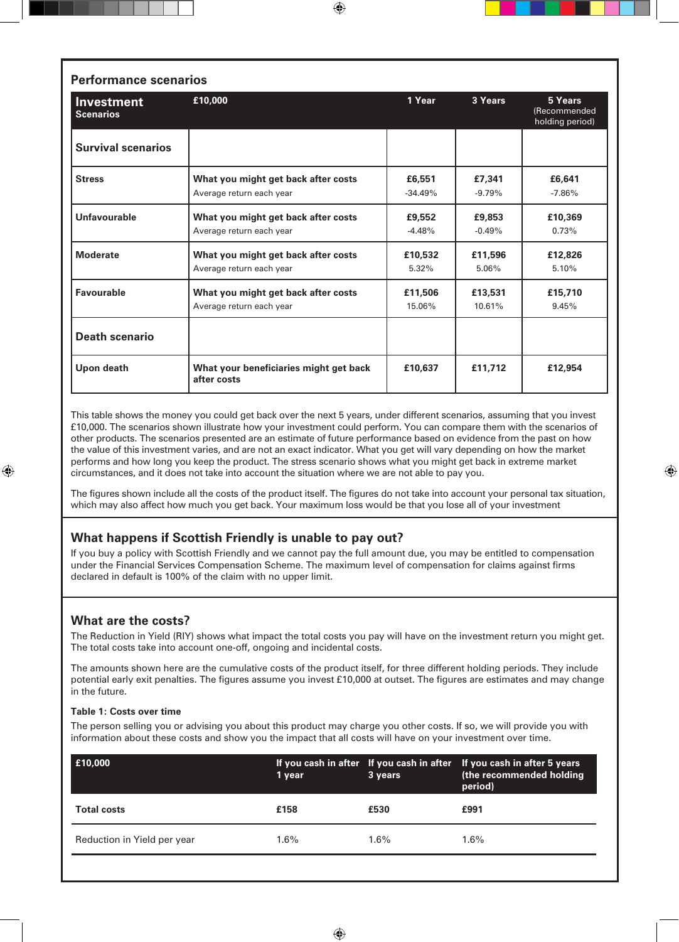| <b>Performance scenarios</b>          |                                                                 |                     |                    |                                            |  |  |
|---------------------------------------|-----------------------------------------------------------------|---------------------|--------------------|--------------------------------------------|--|--|
| <b>Investment</b><br><b>Scenarios</b> | £10,000                                                         | 1 Year              | 3 Years            | 5 Years<br>(Recommended<br>holding period) |  |  |
| <b>Survival scenarios</b>             |                                                                 |                     |                    |                                            |  |  |
| <b>Stress</b>                         | What you might get back after costs<br>Average return each year | £6,551<br>$-34.49%$ | £7,341<br>$-9.79%$ | £6,641<br>$-7.86%$                         |  |  |
| Unfavourable                          | What you might get back after costs<br>Average return each year | £9,552<br>$-4.48%$  | £9,853<br>$-0.49%$ | £10,369<br>0.73%                           |  |  |
| <b>Moderate</b>                       | What you might get back after costs<br>Average return each year | £10,532<br>5.32%    | £11,596<br>5.06%   | £12,826<br>5.10%                           |  |  |
| Favourable                            | What you might get back after costs<br>Average return each year | £11,506<br>15.06%   | £13,531<br>10.61%  | £15,710<br>9.45%                           |  |  |
| <b>Death scenario</b>                 |                                                                 |                     |                    |                                            |  |  |
| Upon death                            | What your beneficiaries might get back<br>after costs           | £10.637             | £11,712            | £12,954                                    |  |  |

⊕

This table shows the money you could get back over the next 5 years, under different scenarios, assuming that you invest £10,000. The scenarios shown illustrate how your investment could perform. You can compare them with the scenarios of other products. The scenarios presented are an estimate of future performance based on evidence from the past on how the value of this investment varies, and are not an exact indicator. What you get will vary depending on how the market performs and how long you keep the product. The stress scenario shows what you might get back in extreme market circumstances, and it does not take into account the situation where we are not able to pay you.

The figures shown include all the costs of the product itself. The figures do not take into account your personal tax situation, which may also affect how much you get back. Your maximum loss would be that you lose all of your investment

⊕

## **What happens if Scottish Friendly is unable to pay out?**

If you buy a policy with Scottish Friendly and we cannot pay the full amount due, you may be entitled to compensation under the Financial Services Compensation Scheme. The maximum level of compensation for claims against firms declared in default is 100% of the claim with no upper limit.

## **What are the costs?**

⊕

The Reduction in Yield (RIY) shows what impact the total costs you pay will have on the investment return you might get. The total costs take into account one-off, ongoing and incidental costs.

The amounts shown here are the cumulative costs of the product itself, for three different holding periods. They include potential early exit penalties. The figures assume you invest £10,000 at outset. The figures are estimates and may change in the future.

## **Table 1: Costs over time**

The person selling you or advising you about this product may charge you other costs. If so, we will provide you with information about these costs and show you the impact that all costs will have on your investment over time.

| E10,000                     | 1 year  | 3 years | If you cash in after If you cash in after If you cash in after 5 years<br>(the recommended holding<br>period) |
|-----------------------------|---------|---------|---------------------------------------------------------------------------------------------------------------|
| <b>Total costs</b>          | £158    | £530    | £991                                                                                                          |
| Reduction in Yield per year | $1.6\%$ | $1.6\%$ | $1.6\%$                                                                                                       |